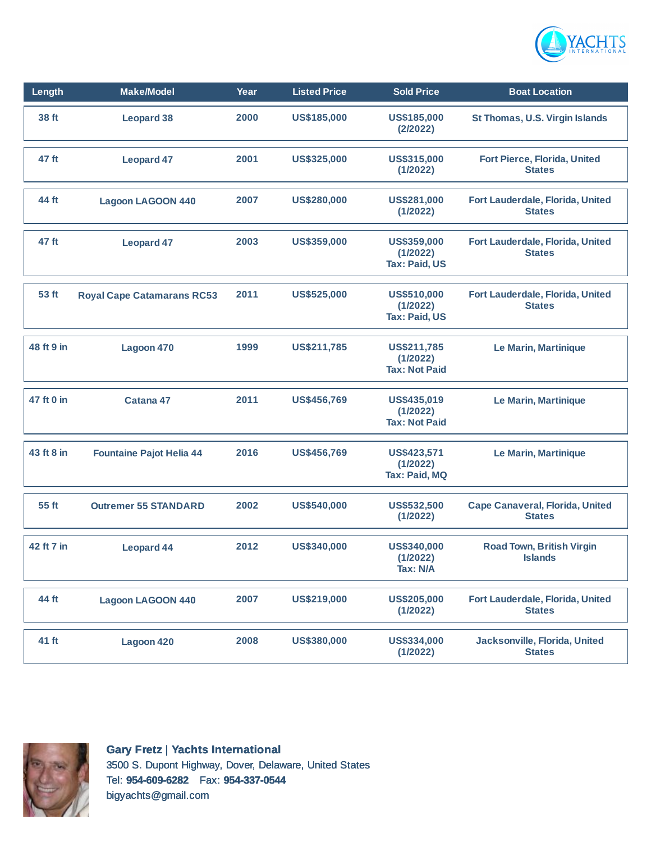

| Length     | <b>Make/Model</b>                 | Year | <b>Listed Price</b> | <b>Sold Price</b>                               | <b>Boat Location</b>                               |
|------------|-----------------------------------|------|---------------------|-------------------------------------------------|----------------------------------------------------|
| 38 ft      | <b>Leopard 38</b>                 | 2000 | US\$185,000         | US\$185,000<br>(2/2022)                         | St Thomas, U.S. Virgin Islands                     |
| 47 ft      | <b>Leopard 47</b>                 | 2001 | US\$325,000         | US\$315,000<br>(1/2022)                         | Fort Pierce, Florida, United<br><b>States</b>      |
| 44 ft      | <b>Lagoon LAGOON 440</b>          | 2007 | US\$280,000         | US\$281,000<br>(1/2022)                         | Fort Lauderdale, Florida, United<br><b>States</b>  |
| 47 ft      | <b>Leopard 47</b>                 | 2003 | US\$359,000         | US\$359,000<br>(1/2022)<br><b>Tax: Paid, US</b> | Fort Lauderdale, Florida, United<br><b>States</b>  |
| 53 ft      | <b>Royal Cape Catamarans RC53</b> | 2011 | <b>US\$525,000</b>  | US\$510,000<br>(1/2022)<br><b>Tax: Paid, US</b> | Fort Lauderdale, Florida, United<br><b>States</b>  |
| 48 ft 9 in | Lagoon 470                        | 1999 | US\$211,785         | US\$211,785<br>(1/2022)<br><b>Tax: Not Paid</b> | Le Marin, Martinique                               |
| 47 ft 0 in | Catana 47                         | 2011 | <b>US\$456,769</b>  | US\$435,019<br>(1/2022)<br><b>Tax: Not Paid</b> | Le Marin, Martinique                               |
| 43 ft 8 in | <b>Fountaine Pajot Helia 44</b>   | 2016 | <b>US\$456,769</b>  | US\$423,571<br>(1/2022)<br>Tax: Paid, MQ        | Le Marin, Martinique                               |
| 55 ft      | <b>Outremer 55 STANDARD</b>       | 2002 | US\$540,000         | <b>US\$532,500</b><br>(1/2022)                  | Cape Canaveral, Florida, United<br><b>States</b>   |
| 42 ft 7 in | <b>Leopard 44</b>                 | 2012 | US\$340,000         | US\$340,000<br>(1/2022)<br>Tax: N/A             | <b>Road Town, British Virgin</b><br><b>Islands</b> |
| 44 ft      | <b>Lagoon LAGOON 440</b>          | 2007 | US\$219,000         | <b>US\$205,000</b><br>(1/2022)                  | Fort Lauderdale, Florida, United<br><b>States</b>  |
| 41 ft      | Lagoon 420                        | 2008 | US\$380,000         | US\$334,000<br>(1/2022)                         | Jacksonville, Florida, United<br><b>States</b>     |



**Gary Fretz** | **Yachts International** 3500 S. Dupont Highway, Dover, Delaware, United States Tel: **954-609-6282** Fax: **954-337-0544** bigyachts@gmail.com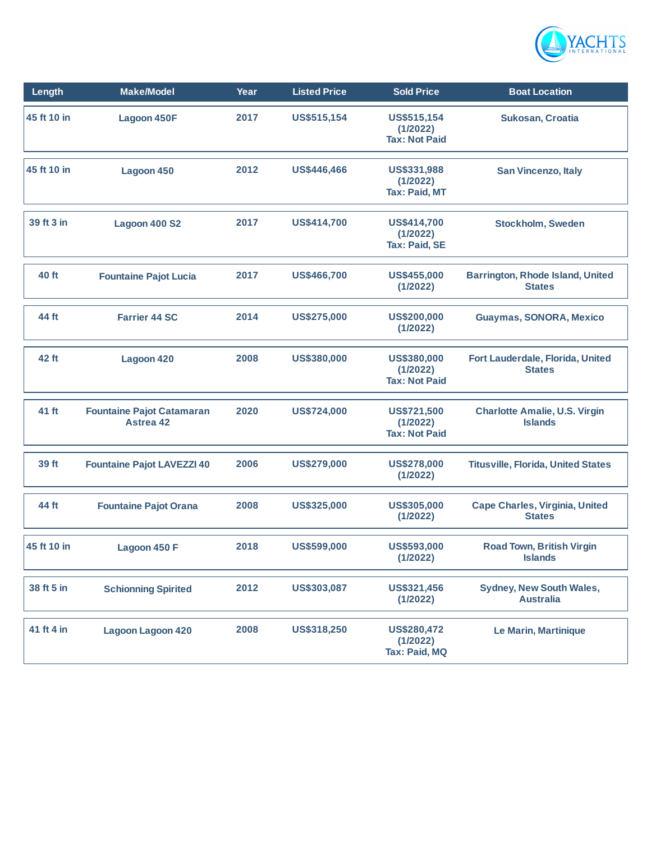

| Length      | <b>Make/Model</b>                                    | Year | <b>Listed Price</b> | <b>Sold Price</b>                                      | <b>Boat Location</b>                                     |
|-------------|------------------------------------------------------|------|---------------------|--------------------------------------------------------|----------------------------------------------------------|
| 45 ft 10 in | <b>Lagoon 450F</b>                                   | 2017 | US\$515,154         | US\$515,154<br>(1/2022)<br><b>Tax: Not Paid</b>        | <b>Sukosan, Croatia</b>                                  |
| 45 ft 10 in | Lagoon 450                                           | 2012 | US\$446,466         | US\$331,988<br>(1/2022)<br><b>Tax: Paid, MT</b>        | <b>San Vincenzo, Italy</b>                               |
| 39 ft 3 in  | Lagoon 400 S2                                        | 2017 | US\$414,700         | US\$414,700<br>(1/2022)<br><b>Tax: Paid, SE</b>        | <b>Stockholm, Sweden</b>                                 |
| 40 ft       | <b>Fountaine Pajot Lucia</b>                         | 2017 | <b>US\$466,700</b>  | US\$455,000<br>(1/2022)                                | <b>Barrington, Rhode Island, United</b><br><b>States</b> |
| 44 ft       | <b>Farrier 44 SC</b>                                 | 2014 | <b>US\$275,000</b>  | <b>US\$200,000</b><br>(1/2022)                         | Guaymas, SONORA, Mexico                                  |
| 42 ft       | Lagoon 420                                           | 2008 | US\$380,000         | US\$380,000<br>(1/2022)<br><b>Tax: Not Paid</b>        | Fort Lauderdale, Florida, United<br><b>States</b>        |
| 41 ft       | <b>Fountaine Pajot Catamaran</b><br><b>Astrea 42</b> | 2020 | <b>US\$724,000</b>  | <b>US\$721,500</b><br>(1/2022)<br><b>Tax: Not Paid</b> | <b>Charlotte Amalie, U.S. Virgin</b><br><b>Islands</b>   |
| 39 ft       | <b>Fountaine Pajot LAVEZZI 40</b>                    | 2006 | <b>US\$279,000</b>  | <b>US\$278,000</b><br>(1/2022)                         | <b>Titusville, Florida, United States</b>                |
| 44 ft       | <b>Fountaine Pajot Orana</b>                         | 2008 | US\$325,000         | US\$305,000<br>(1/2022)                                | <b>Cape Charles, Virginia, United</b><br><b>States</b>   |
| 45 ft 10 in | Lagoon 450 F                                         | 2018 | US\$599,000         | US\$593,000<br>(1/2022)                                | <b>Road Town, British Virgin</b><br><b>Islands</b>       |
| 38 ft 5 in  | <b>Schionning Spirited</b>                           | 2012 | US\$303,087         | US\$321,456<br>(1/2022)                                | Sydney, New South Wales,<br><b>Australia</b>             |
| 41 ft 4 in  | <b>Lagoon Lagoon 420</b>                             | 2008 | US\$318,250         | <b>US\$280,472</b><br>(1/2022)<br>Tax: Paid, MQ        | Le Marin, Martinique                                     |